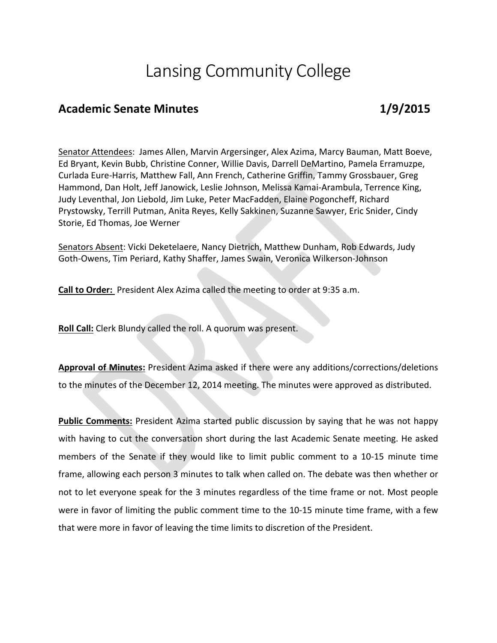## Lansing Community College

## Academic Senate Minutes **1/9/2015**

Senator Attendees: James Allen, Marvin Argersinger, Alex Azima, Marcy Bauman, Matt Boeve, Ed Bryant, Kevin Bubb, Christine Conner, Willie Davis, Darrell DeMartino, Pamela Erramuzpe, Curlada Eure-Harris, Matthew Fall, Ann French, Catherine Griffin, Tammy Grossbauer, Greg Hammond, Dan Holt, Jeff Janowick, Leslie Johnson, Melissa Kamai-Arambula, Terrence King, Judy Leventhal, Jon Liebold, Jim Luke, Peter MacFadden, Elaine Pogoncheff, Richard Prystowsky, Terrill Putman, Anita Reyes, Kelly Sakkinen, Suzanne Sawyer, Eric Snider, Cindy Storie, Ed Thomas, Joe Werner

Senators Absent: Vicki Deketelaere, Nancy Dietrich, Matthew Dunham, Rob Edwards, Judy Goth-Owens, Tim Periard, Kathy Shaffer, James Swain, Veronica Wilkerson-Johnson

**Call to Order:** President Alex Azima called the meeting to order at 9:35 a.m.

**Roll Call:** Clerk Blundy called the roll. A quorum was present.

**Approval of Minutes:** President Azima asked if there were any additions/corrections/deletions to the minutes of the December 12, 2014 meeting. The minutes were approved as distributed.

**Public Comments:** President Azima started public discussion by saying that he was not happy with having to cut the conversation short during the last Academic Senate meeting. He asked members of the Senate if they would like to limit public comment to a 10-15 minute time frame, allowing each person 3 minutes to talk when called on. The debate was then whether or not to let everyone speak for the 3 minutes regardless of the time frame or not. Most people were in favor of limiting the public comment time to the 10-15 minute time frame, with a few that were more in favor of leaving the time limits to discretion of the President.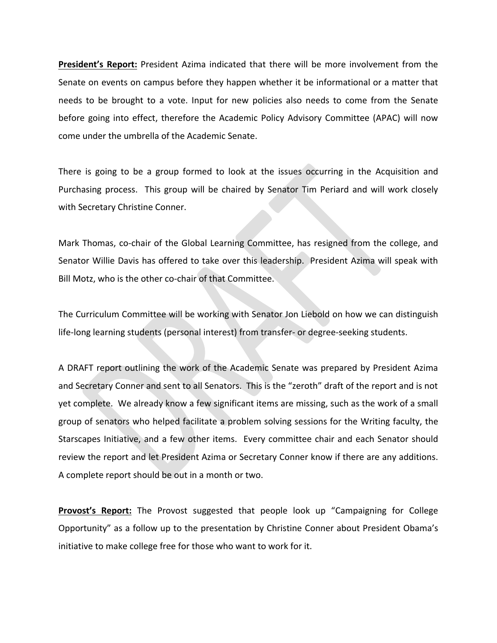**President's Report:** President Azima indicated that there will be more involvement from the Senate on events on campus before they happen whether it be informational or a matter that needs to be brought to a vote. Input for new policies also needs to come from the Senate before going into effect, therefore the Academic Policy Advisory Committee (APAC) will now come under the umbrella of the Academic Senate.

There is going to be a group formed to look at the issues occurring in the Acquisition and Purchasing process. This group will be chaired by Senator Tim Periard and will work closely with Secretary Christine Conner.

Mark Thomas, co-chair of the Global Learning Committee, has resigned from the college, and Senator Willie Davis has offered to take over this leadership. President Azima will speak with Bill Motz, who is the other co-chair of that Committee.

The Curriculum Committee will be working with Senator Jon Liebold on how we can distinguish life-long learning students (personal interest) from transfer- or degree-seeking students.

A DRAFT report outlining the work of the Academic Senate was prepared by President Azima and Secretary Conner and sent to all Senators. This is the "zeroth" draft of the report and is not yet complete. We already know a few significant items are missing, such as the work of a small group of senators who helped facilitate a problem solving sessions for the Writing faculty, the Starscapes Initiative, and a few other items. Every committee chair and each Senator should review the report and let President Azima or Secretary Conner know if there are any additions. A complete report should be out in a month or two.

**Provost's Report:** The Provost suggested that people look up "Campaigning for College Opportunity" as a follow up to the presentation by Christine Conner about President Obama's initiative to make college free for those who want to work for it.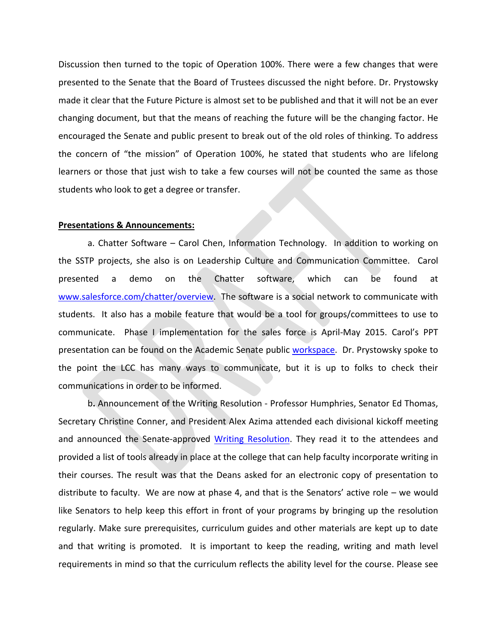Discussion then turned to the topic of Operation 100%. There were a few changes that were presented to the Senate that the Board of Trustees discussed the night before. Dr. Prystowsky made it clear that the Future Picture is almost set to be published and that it will not be an ever changing document, but that the means of reaching the future will be the changing factor. He encouraged the Senate and public present to break out of the old roles of thinking. To address the concern of "the mission" of Operation 100%, he stated that students who are lifelong learners or those that just wish to take a few courses will not be counted the same as those students who look to get a degree or transfer.

## **Presentations & Announcements:**

a. Chatter Software – Carol Chen, Information Technology. In addition to working on the SSTP projects, she also is on Leadership Culture and Communication Committee. Carol presented a demo on the Chatter software, which can be found at [www.salesforce.com/chatter/overview.](http://www.salesforce.com/chatter/overview) The software is a social network to communicate with students. It also has a mobile feature that would be a tool for groups/committees to use to communicate. Phase I implementation for the sales force is April-May 2015. Carol's PPT presentation can be found on the Academic Senate public [workspace.](file://fleetwood/lcc-all-public/Exec-Public/Provost-Office-Public/Academic-Senate-Public/Presentations) Dr. Prystowsky spoke to the point the LCC has many ways to communicate, but it is up to folks to check their communications in order to be informed.

b**.** Announcement of the Writing Resolution - Professor Humphries, Senator Ed Thomas, Secretary Christine Conner, and President Alex Azima attended each divisional kickoff meeting and announced the Senate-approved [Writing Resolution.](file://fleetwood/lcc-all-public/Exec-Public/Provost-Office-Public/Academic-Senate-Public/Documents/Writing%20Subcommittee) They read it to the attendees and provided a list of tools already in place at the college that can help faculty incorporate writing in their courses. The result was that the Deans asked for an electronic copy of presentation to distribute to faculty. We are now at phase 4, and that is the Senators' active role  $-$  we would like Senators to help keep this effort in front of your programs by bringing up the resolution regularly. Make sure prerequisites, curriculum guides and other materials are kept up to date and that writing is promoted. It is important to keep the reading, writing and math level requirements in mind so that the curriculum reflects the ability level for the course. Please see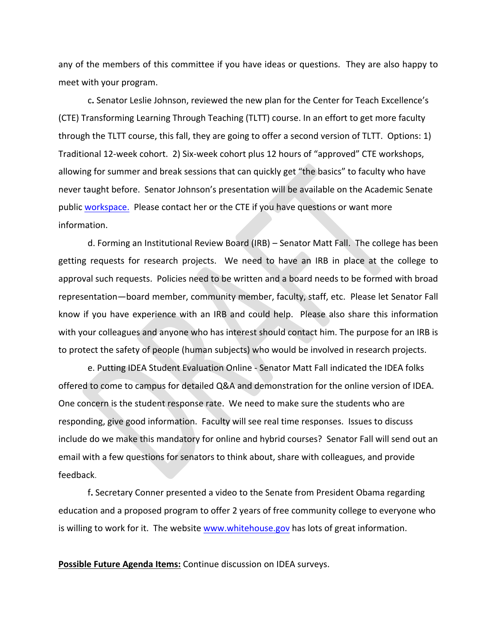any of the members of this committee if you have ideas or questions. They are also happy to meet with your program.

c**.** Senator Leslie Johnson, reviewed the new plan for the Center for Teach Excellence's (CTE) Transforming Learning Through Teaching (TLTT) course. In an effort to get more faculty through the TLTT course, this fall, they are going to offer a second version of TLTT. Options: 1) Traditional 12-week cohort. 2) Six-week cohort plus 12 hours of "approved" CTE workshops, allowing for summer and break sessions that can quickly get "the basics" to faculty who have never taught before. Senator Johnson's presentation will be available on the Academic Senate public [workspace.](file://fleetwood/lcc-all-public/Exec-Public/Provost-Office-Public/Academic-Senate-Public/Presentations) Please contact her or the CTE if you have questions or want more information.

d. Forming an Institutional Review Board (IRB) – Senator Matt Fall. The college has been getting requests for research projects. We need to have an IRB in place at the college to approval such requests. Policies need to be written and a board needs to be formed with broad representation—board member, community member, faculty, staff, etc. Please let Senator Fall know if you have experience with an IRB and could help. Please also share this information with your colleagues and anyone who has interest should contact him. The purpose for an IRB is to protect the safety of people (human subjects) who would be involved in research projects.

e. Putting IDEA Student Evaluation Online - Senator Matt Fall indicated the IDEA folks offered to come to campus for detailed Q&A and demonstration for the online version of IDEA. One concern is the student response rate. We need to make sure the students who are responding, give good information. Faculty will see real time responses. Issues to discuss include do we make this mandatory for online and hybrid courses? Senator Fall will send out an email with a few questions for senators to think about, share with colleagues, and provide feedback.

f**.** Secretary Conner presented a video to the Senate from President Obama regarding education and a proposed program to offer 2 years of free community college to everyone who is willing to work for it. The websit[e www.whitehouse.gov](http://www.whitehouse.gov/) has lots of great information.

**Possible Future Agenda Items:** Continue discussion on IDEA surveys.